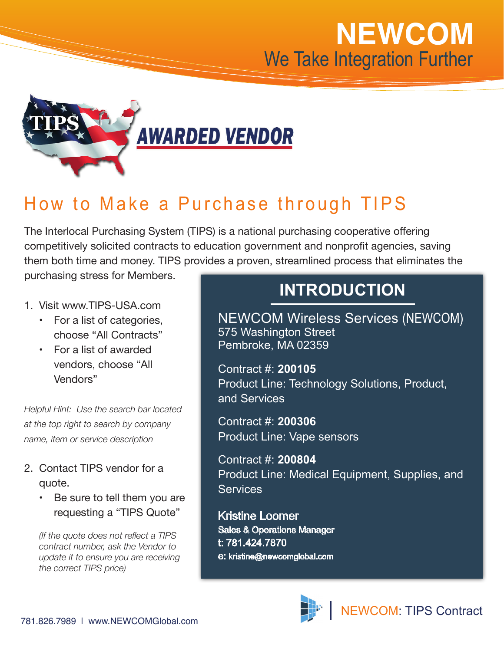## **NEWCOM** We Take Integration Further



## How to Make a Purchase through TIPS

The Interlocal Purchasing System (TIPS) is a national purchasing cooperative offering competitively solicited contracts to education government and nonprofit agencies, saving them both time and money. TIPS provides a proven, streamlined process that eliminates the purchasing stress for Members.

- 1. Visit www.TIPS-USA.com
	- • For a list of categories, choose "All Contracts"
	- • For a list of awarded vendors, choose "All Vendors"

*Helpful Hint: Use the search bar located at the top right to search by company name, item or service description* 

- 2. Contact TIPS vendor for a quote.
	- Be sure to tell them you are requesting a "TIPS Quote"

*(If the quote does not reflect a TIPS contract number, ask the Vendor to update it to ensure you are receiving the correct TIPS price)*

## **INTRODUCTION**

NEWCOM Wireless Services (NEWCOM) 575 Washington Street Pembroke, MA 02359

Contract #: **200105**  Product Line: Technology Solutions, Product, and Services

Contract #: **200306**  Product Line: Vape sensors

Contract #: **200804** Product Line: Medical Equipment, Supplies, and **Services** 

Kristine Loomer Sales & Operations Manager t: 781.424.7870 e: kristine@newcomglobal.com